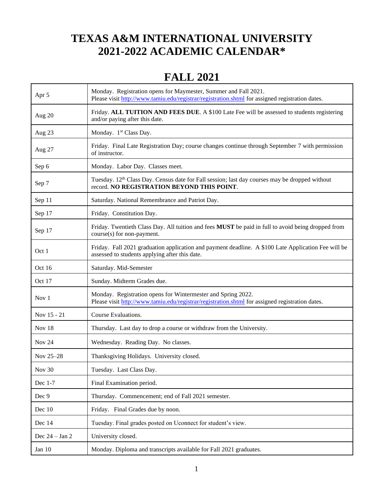#### **TEXAS A&M INTERNATIONAL UNIVERSITY 2021-2022 ACADEMIC CALENDAR\***

#### **FALL 2021**

| Apr 5             | Monday. Registration opens for Maymester, Summer and Fall 2021.<br>Please visit http://www.tamiu.edu/registrar/registration.shtml for assigned registration dates. |
|-------------------|--------------------------------------------------------------------------------------------------------------------------------------------------------------------|
| Aug 20            | Friday. ALL TUITION AND FEES DUE. A \$100 Late Fee will be assessed to students registering<br>and/or paying after this date.                                      |
| Aug 23            | Monday. 1 <sup>st</sup> Class Day.                                                                                                                                 |
| Aug 27            | Friday. Final Late Registration Day; course changes continue through September 7 with permission<br>of instructor.                                                 |
| Sep 6             | Monday. Labor Day. Classes meet.                                                                                                                                   |
| Sep 7             | Tuesday. 12 <sup>th</sup> Class Day. Census date for Fall session; last day courses may be dropped without<br>record. NO REGISTRATION BEYOND THIS POINT.           |
| Sep 11            | Saturday. National Remembrance and Patriot Day.                                                                                                                    |
| Sep 17            | Friday. Constitution Day.                                                                                                                                          |
| Sep 17            | Friday. Twentieth Class Day. All tuition and fees MUST be paid in full to avoid being dropped from<br>course(s) for non-payment.                                   |
| Oct 1             | Friday. Fall 2021 graduation application and payment deadline. A \$100 Late Application Fee will be<br>assessed to students applying after this date.              |
| Oct 16            | Saturday. Mid-Semester                                                                                                                                             |
| Oct 17            | Sunday. Midterm Grades due.                                                                                                                                        |
| Nov $1$           | Monday. Registration opens for Wintermester and Spring 2022.<br>Please visit http://www.tamiu.edu/registrar/registration.shtml for assigned registration dates.    |
| Nov 15 - 21       | Course Evaluations.                                                                                                                                                |
| Nov 18            | Thursday. Last day to drop a course or withdraw from the University.                                                                                               |
| Nov <sub>24</sub> | Wednesday. Reading Day. No classes.                                                                                                                                |
| Nov 25-28         | Thanksgiving Holidays. University closed.                                                                                                                          |
| Nov 30            | Tuesday. Last Class Day.                                                                                                                                           |
| Dec 1-7           | Final Examination period.                                                                                                                                          |
| Dec 9             | Thursday. Commencement; end of Fall 2021 semester.                                                                                                                 |
| Dec 10            | Friday. Final Grades due by noon.                                                                                                                                  |
| Dec 14            | Tuesday. Final grades posted on Uconnect for student's view.                                                                                                       |
| Dec $24 - Jan 2$  | University closed.                                                                                                                                                 |
| Jan 10            | Monday. Diploma and transcripts available for Fall 2021 graduates.                                                                                                 |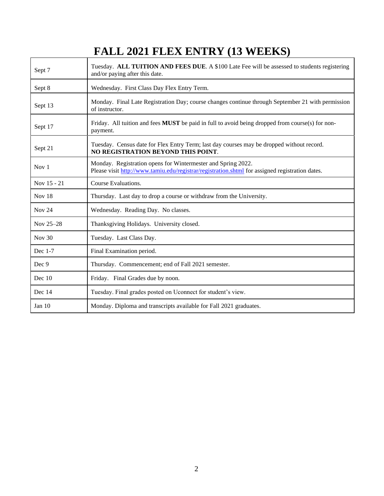# **FALL 2021 FLEX ENTRY (13 WEEKS)**

| Sept 7           | Tuesday. ALL TUITION AND FEES DUE. A \$100 Late Fee will be assessed to students registering<br>and/or paying after this date.                                  |
|------------------|-----------------------------------------------------------------------------------------------------------------------------------------------------------------|
| Sept 8           | Wednesday. First Class Day Flex Entry Term.                                                                                                                     |
| Sept 13          | Monday. Final Late Registration Day; course changes continue through September 21 with permission<br>of instructor.                                             |
| Sept 17          | Friday. All tuition and fees <b>MUST</b> be paid in full to avoid being dropped from course(s) for non-<br>payment.                                             |
| Sept 21          | Tuesday. Census date for Flex Entry Term; last day courses may be dropped without record.<br>NO REGISTRATION BEYOND THIS POINT.                                 |
| Nov <sub>1</sub> | Monday. Registration opens for Wintermester and Spring 2022.<br>Please visit http://www.tamiu.edu/registrar/registration.shtml for assigned registration dates. |
| Nov 15 - 21      | Course Evaluations.                                                                                                                                             |
| Nov 18           | Thursday. Last day to drop a course or withdraw from the University.                                                                                            |
| Nov $24$         | Wednesday. Reading Day. No classes.                                                                                                                             |
| Nov 25-28        | Thanksgiving Holidays. University closed.                                                                                                                       |
| Nov $30$         | Tuesday. Last Class Day.                                                                                                                                        |
| Dec 1-7          | Final Examination period.                                                                                                                                       |
| Dec 9            | Thursday. Commencement; end of Fall 2021 semester.                                                                                                              |
| Dec $10$         | Friday. Final Grades due by noon.                                                                                                                               |
| Dec 14           | Tuesday. Final grades posted on Uconnect for student's view.                                                                                                    |
| Jan $10$         | Monday. Diploma and transcripts available for Fall 2021 graduates.                                                                                              |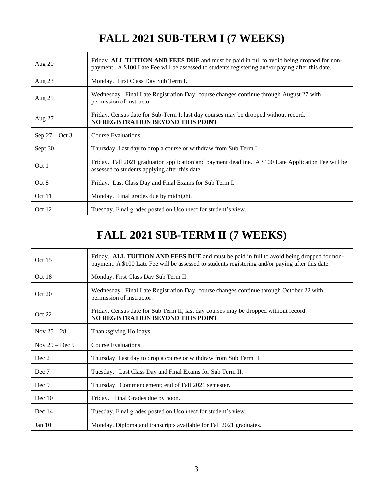## **FALL 2021 SUB-TERM I (7 WEEKS)**

| Aug $20$         | Friday. ALL TUITION AND FEES DUE and must be paid in full to avoid being dropped for non-<br>payment. A \$100 Late Fee will be assessed to students registering and/or paying after this date. |
|------------------|------------------------------------------------------------------------------------------------------------------------------------------------------------------------------------------------|
| Aug $23$         | Monday. First Class Day Sub Term I.                                                                                                                                                            |
| Aug 25           | Wednesday. Final Late Registration Day; course changes continue through August 27 with<br>permission of instructor.                                                                            |
| Aug 27           | Friday. Census date for Sub-Term I; last day courses may be dropped without record.<br>NO REGISTRATION BEYOND THIS POINT.                                                                      |
| Sep $27 - Oct 3$ | Course Evaluations.                                                                                                                                                                            |
| Sept 30          | Thursday. Last day to drop a course or withdraw from Sub Term I.                                                                                                                               |
| Oct 1            | Friday. Fall 2021 graduation application and payment deadline. A \$100 Late Application Fee will be<br>assessed to students applying after this date.                                          |
| Oct 8            | Friday. Last Class Day and Final Exams for Sub Term I.                                                                                                                                         |
| Oct 11           | Monday. Final grades due by midnight.                                                                                                                                                          |
| Oct 12           | Tuesday. Final grades posted on Uconnect for student's view.                                                                                                                                   |

## **FALL 2021 SUB-TERM II (7 WEEKS)**

| Oct 15           | Friday. ALL TUITION AND FEES DUE and must be paid in full to avoid being dropped for non-<br>payment. A \$100 Late Fee will be assessed to students registering and/or paying after this date. |
|------------------|------------------------------------------------------------------------------------------------------------------------------------------------------------------------------------------------|
| Oct 18           | Monday. First Class Day Sub Term II.                                                                                                                                                           |
| Oct 20           | Wednesday. Final Late Registration Day; course changes continue through October 22 with<br>permission of instructor.                                                                           |
| Oct 22           | Friday. Census date for Sub Term II; last day courses may be dropped without record.<br>NO REGISTRATION BEYOND THIS POINT.                                                                     |
| Nov $25 - 28$    | Thanksgiving Holidays.                                                                                                                                                                         |
| Nov $29 - Dec 5$ | Course Evaluations.                                                                                                                                                                            |
| Dec 2            | Thursday. Last day to drop a course or withdraw from Sub Term II.                                                                                                                              |
| Dec 7            | Tuesday. Last Class Day and Final Exams for Sub Term II.                                                                                                                                       |
| Dec 9            | Thursday. Commencement; end of Fall 2021 semester.                                                                                                                                             |
| Dec $10$         | Friday. Final Grades due by noon.                                                                                                                                                              |
| Dec $14$         | Tuesday. Final grades posted on Uconnect for student's view.                                                                                                                                   |
| Jan $10$         | Monday. Diploma and transcripts available for Fall 2021 graduates.                                                                                                                             |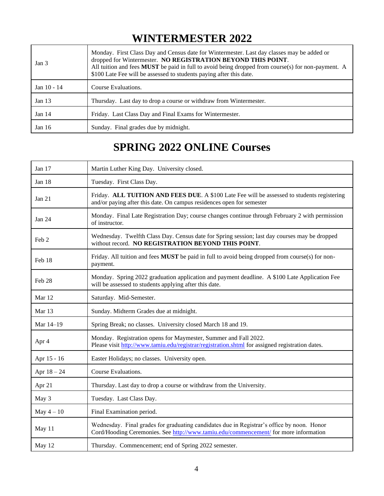### **WINTERMESTER 2022**

| Jan <sub>3</sub> | Monday. First Class Day and Census date for Wintermester. Last day classes may be added or<br>dropped for Wintermester. NO REGISTRATION BEYOND THIS POINT.<br>All tuition and fees MUST be paid in full to avoid being dropped from course(s) for non-payment. A<br>\$100 Late Fee will be assessed to students paying after this date. |
|------------------|-----------------------------------------------------------------------------------------------------------------------------------------------------------------------------------------------------------------------------------------------------------------------------------------------------------------------------------------|
| Jan 10 - 14      | Course Evaluations.                                                                                                                                                                                                                                                                                                                     |
| Jan $13$         | Thursday. Last day to drop a course or withdraw from Wintermester.                                                                                                                                                                                                                                                                      |
| Jan $14$         | Friday. Last Class Day and Final Exams for Wintermester.                                                                                                                                                                                                                                                                                |
| Jan 16           | Sunday. Final grades due by midnight.                                                                                                                                                                                                                                                                                                   |

### **SPRING 2022 ONLINE Courses**

| Jan 17           | Martin Luther King Day. University closed.                                                                                                                                         |
|------------------|------------------------------------------------------------------------------------------------------------------------------------------------------------------------------------|
| Jan 18           | Tuesday. First Class Day.                                                                                                                                                          |
| Jan $21$         | Friday. ALL TUITION AND FEES DUE. A \$100 Late Fee will be assessed to students registering<br>and/or paying after this date. On campus residences open for semester               |
| Jan 24           | Monday. Final Late Registration Day; course changes continue through February 2 with permission<br>of instructor.                                                                  |
| Feb <sub>2</sub> | Wednesday. Twelfth Class Day. Census date for Spring session; last day courses may be dropped<br>without record. NO REGISTRATION BEYOND THIS POINT.                                |
| Feb 18           | Friday. All tuition and fees MUST be paid in full to avoid being dropped from course(s) for non-<br>payment.                                                                       |
| Feb 28           | Monday. Spring 2022 graduation application and payment deadline. A \$100 Late Application Fee<br>will be assessed to students applying after this date.                            |
| Mar 12           | Saturday. Mid-Semester.                                                                                                                                                            |
| Mar 13           | Sunday. Midterm Grades due at midnight.                                                                                                                                            |
| Mar 14-19        | Spring Break; no classes. University closed March 18 and 19.                                                                                                                       |
| Apr 4            | Monday. Registration opens for Maymester, Summer and Fall 2022.<br>Please visit http://www.tamiu.edu/registrar/registration.shtml for assigned registration dates.                 |
| Apr 15 - 16      | Easter Holidays; no classes. University open.                                                                                                                                      |
| Apr $18 - 24$    | Course Evaluations.                                                                                                                                                                |
| Apr 21           | Thursday. Last day to drop a course or withdraw from the University.                                                                                                               |
| May 3            | Tuesday. Last Class Day.                                                                                                                                                           |
| May $4-10$       | Final Examination period.                                                                                                                                                          |
| May 11           | Wednesday. Final grades for graduating candidates due in Registrar's office by noon. Honor<br>Cord/Hooding Ceremonies. See http://www.tamiu.edu/commencement/ for more information |
| May 12           | Thursday. Commencement; end of Spring 2022 semester.                                                                                                                               |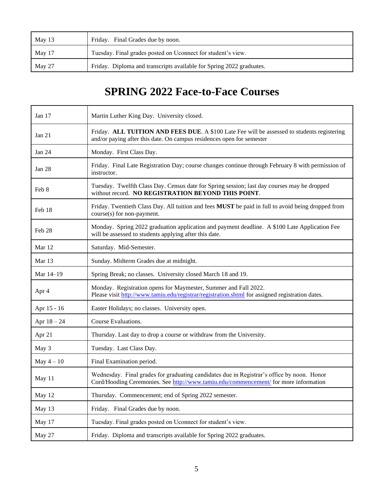| May 13 | Friday. Final Grades due by noon.                                    |
|--------|----------------------------------------------------------------------|
| May 17 | Tuesday. Final grades posted on Uconnect for student's view.         |
| May 27 | Friday. Diploma and transcripts available for Spring 2022 graduates. |

## **SPRING 2022 Face-to-Face Courses**

| Jan 17        | Martin Luther King Day. University closed.                                                                                                                                         |
|---------------|------------------------------------------------------------------------------------------------------------------------------------------------------------------------------------|
| Jan $21$      | Friday. ALL TUITION AND FEES DUE. A \$100 Late Fee will be assessed to students registering<br>and/or paying after this date. On campus residences open for semester               |
| Jan 24        | Monday. First Class Day.                                                                                                                                                           |
| Jan 28        | Friday. Final Late Registration Day; course changes continue through February 8 with permission of<br>instructor.                                                                  |
| Feb 8         | Tuesday. Twelfth Class Day. Census date for Spring session; last day courses may be dropped<br>without record. NO REGISTRATION BEYOND THIS POINT.                                  |
| Feb 18        | Friday. Twentieth Class Day. All tuition and fees MUST be paid in full to avoid being dropped from<br>course(s) for non-payment.                                                   |
| Feb 28        | Monday. Spring 2022 graduation application and payment deadline. A \$100 Late Application Fee<br>will be assessed to students applying after this date.                            |
| Mar 12        | Saturday. Mid-Semester.                                                                                                                                                            |
| Mar 13        | Sunday. Midterm Grades due at midnight.                                                                                                                                            |
| Mar 14-19     | Spring Break; no classes. University closed March 18 and 19.                                                                                                                       |
| Apr 4         | Monday. Registration opens for Maymester, Summer and Fall 2022.<br>Please visit http://www.tamiu.edu/registrar/registration.shtml for assigned registration dates.                 |
| Apr 15 - 16   | Easter Holidays; no classes. University open.                                                                                                                                      |
| Apr $18 - 24$ | Course Evaluations.                                                                                                                                                                |
| Apr 21        | Thursday. Last day to drop a course or withdraw from the University.                                                                                                               |
| May 3         | Tuesday. Last Class Day.                                                                                                                                                           |
| May $4-10$    | Final Examination period.                                                                                                                                                          |
| May 11        | Wednesday. Final grades for graduating candidates due in Registrar's office by noon. Honor<br>Cord/Hooding Ceremonies. See http://www.tamiu.edu/commencement/ for more information |
| May 12        | Thursday. Commencement; end of Spring 2022 semester.                                                                                                                               |
| May 13        | Friday. Final Grades due by noon.                                                                                                                                                  |
| May 17        | Tuesday. Final grades posted on Uconnect for student's view.                                                                                                                       |
| May 27        | Friday. Diploma and transcripts available for Spring 2022 graduates.                                                                                                               |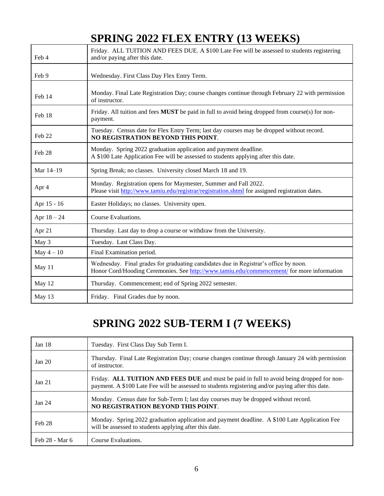## **SPRING 2022 FLEX ENTRY (13 WEEKS)**

| Feb 4         | Friday. ALL TUITION AND FEES DUE. A \$100 Late Fee will be assessed to students registering<br>and/or paying after this date.                                                      |
|---------------|------------------------------------------------------------------------------------------------------------------------------------------------------------------------------------|
| Feb 9         | Wednesday. First Class Day Flex Entry Term.                                                                                                                                        |
| Feb 14        | Monday. Final Late Registration Day; course changes continue through February 22 with permission<br>of instructor.                                                                 |
| Feb 18        | Friday. All tuition and fees <b>MUST</b> be paid in full to avoid being dropped from course(s) for non-<br>payment.                                                                |
| Feb 22        | Tuesday. Census date for Flex Entry Term; last day courses may be dropped without record.<br>NO REGISTRATION BEYOND THIS POINT.                                                    |
| Feb 28        | Monday. Spring 2022 graduation application and payment deadline.<br>A \$100 Late Application Fee will be assessed to students applying after this date.                            |
| Mar 14-19     | Spring Break; no classes. University closed March 18 and 19.                                                                                                                       |
| Apr 4         | Monday. Registration opens for Maymester, Summer and Fall 2022.<br>Please visit http://www.tamiu.edu/registrar/registration.shtml for assigned registration dates.                 |
| Apr 15 - 16   | Easter Holidays; no classes. University open.                                                                                                                                      |
| Apr $18 - 24$ | Course Evaluations.                                                                                                                                                                |
| Apr 21        | Thursday. Last day to drop a course or withdraw from the University.                                                                                                               |
| May 3         | Tuesday. Last Class Day.                                                                                                                                                           |
| May $4-10$    | Final Examination period.                                                                                                                                                          |
| May 11        | Wednesday. Final grades for graduating candidates due in Registrar's office by noon.<br>Honor Cord/Hooding Ceremonies. See http://www.tamiu.edu/commencement/ for more information |
| May 12        | Thursday. Commencement; end of Spring 2022 semester.                                                                                                                               |
| May 13        | Friday. Final Grades due by noon.                                                                                                                                                  |

# **SPRING 2022 SUB-TERM I (7 WEEKS)**

| Jan $18$       | Tuesday. First Class Day Sub Term I.                                                                                                                                                           |
|----------------|------------------------------------------------------------------------------------------------------------------------------------------------------------------------------------------------|
| Jan $20$       | Thursday. Final Late Registration Day; course changes continue through January 24 with permission<br>of instructor.                                                                            |
| Jan 21         | Friday. ALL TUITION AND FEES DUE and must be paid in full to avoid being dropped for non-<br>payment. A \$100 Late Fee will be assessed to students registering and/or paying after this date. |
| Jan 24         | Monday. Census date for Sub-Term I; last day courses may be dropped without record.<br>NO REGISTRATION BEYOND THIS POINT.                                                                      |
| Feb 28         | Monday. Spring 2022 graduation application and payment deadline. A \$100 Late Application Fee<br>will be assessed to students applying after this date.                                        |
| Feb 28 - Mar 6 | Course Evaluations.                                                                                                                                                                            |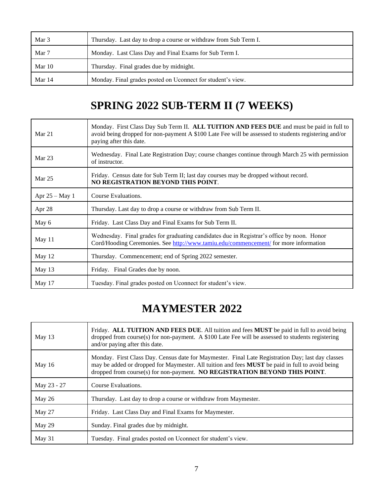| Mar 3    | Thursday. Last day to drop a course or withdraw from Sub Term I. |
|----------|------------------------------------------------------------------|
| Mar 7    | Monday. Last Class Day and Final Exams for Sub Term I.           |
| Mar $10$ | Thursday. Final grades due by midnight.                          |
| Mar 14   | Monday. Final grades posted on Uconnect for student's view.      |

## **SPRING 2022 SUB-TERM II (7 WEEKS)**

| Mar 21           | Monday. First Class Day Sub Term II. ALL TUITION AND FEES DUE and must be paid in full to<br>avoid being dropped for non-payment A \$100 Late Fee will be assessed to students registering and/or<br>paying after this date. |
|------------------|------------------------------------------------------------------------------------------------------------------------------------------------------------------------------------------------------------------------------|
| Mar 23           | Wednesday. Final Late Registration Day; course changes continue through March 25 with permission<br>of instructor.                                                                                                           |
| Mar $25$         | Friday. Census date for Sub Term II; last day courses may be dropped without record.<br>NO REGISTRATION BEYOND THIS POINT.                                                                                                   |
| Apr $25 - May 1$ | Course Evaluations.                                                                                                                                                                                                          |
| Apr 28           | Thursday. Last day to drop a course or withdraw from Sub Term II.                                                                                                                                                            |
| May 6            | Friday. Last Class Day and Final Exams for Sub Term II.                                                                                                                                                                      |
| May 11           | Wednesday. Final grades for graduating candidates due in Registrar's office by noon. Honor<br>Cord/Hooding Ceremonies. See http://www.tamiu.edu/commencement/ for more information                                           |
| May 12           | Thursday. Commencement; end of Spring 2022 semester.                                                                                                                                                                         |
| May 13           | Friday. Final Grades due by noon.                                                                                                                                                                                            |
| May 17           | Tuesday. Final grades posted on Uconnect for student's view.                                                                                                                                                                 |

### **MAYMESTER 2022**

| May 13      | Friday. ALL TUITION AND FEES DUE. All tuition and fees MUST be paid in full to avoid being<br>dropped from course(s) for non-payment. A $$100$ Late Fee will be assessed to students registering<br>and/or paying after this date.                                                 |
|-------------|------------------------------------------------------------------------------------------------------------------------------------------------------------------------------------------------------------------------------------------------------------------------------------|
| May $16$    | Monday. First Class Day. Census date for Maymester. Final Late Registration Day; last day classes<br>may be added or dropped for Maymester. All tuition and fees MUST be paid in full to avoid being<br>dropped from course(s) for non-payment. NO REGISTRATION BEYOND THIS POINT. |
| May 23 - 27 | Course Evaluations.                                                                                                                                                                                                                                                                |
| May 26      | Thursday. Last day to drop a course or withdraw from Maymester.                                                                                                                                                                                                                    |
| May 27      | Friday. Last Class Day and Final Exams for Maymester.                                                                                                                                                                                                                              |
| May 29      | Sunday. Final grades due by midnight.                                                                                                                                                                                                                                              |
| May 31      | Tuesday. Final grades posted on Uconnect for student's view.                                                                                                                                                                                                                       |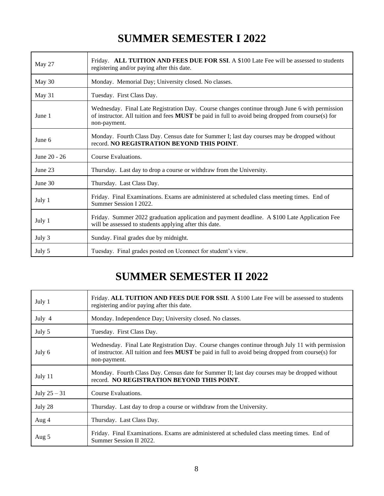### **SUMMER SEMESTER I 2022**

| May 27       | Friday. ALL TUITION AND FEES DUE FOR SSI. A \$100 Late Fee will be assessed to students<br>registering and/or paying after this date.                                                                                |
|--------------|----------------------------------------------------------------------------------------------------------------------------------------------------------------------------------------------------------------------|
| May 30       | Monday. Memorial Day; University closed. No classes.                                                                                                                                                                 |
| May 31       | Tuesday. First Class Day.                                                                                                                                                                                            |
| June 1       | Wednesday. Final Late Registration Day. Course changes continue through June 6 with permission<br>of instructor. All tuition and fees MUST be paid in full to avoid being dropped from course(s) for<br>non-payment. |
| June 6       | Monday. Fourth Class Day. Census date for Summer I; last day courses may be dropped without<br>record. NO REGISTRATION BEYOND THIS POINT.                                                                            |
| June 20 - 26 | Course Evaluations.                                                                                                                                                                                                  |
| June 23      | Thursday. Last day to drop a course or withdraw from the University.                                                                                                                                                 |
| June 30      | Thursday. Last Class Day.                                                                                                                                                                                            |
| July 1       | Friday. Final Examinations. Exams are administered at scheduled class meeting times. End of<br>Summer Session I 2022.                                                                                                |
| July 1       | Friday. Summer 2022 graduation application and payment deadline. A \$100 Late Application Fee<br>will be assessed to students applying after this date.                                                              |
| July 3       | Sunday. Final grades due by midnight.                                                                                                                                                                                |
| July 5       | Tuesday. Final grades posted on Uconnect for student's view.                                                                                                                                                         |

### **SUMMER SEMESTER II 2022**

| July 1         | Friday. ALL TUITION AND FEES DUE FOR SSII. A \$100 Late Fee will be assessed to students<br>registering and/or paying after this date.                                                                                       |
|----------------|------------------------------------------------------------------------------------------------------------------------------------------------------------------------------------------------------------------------------|
| July 4         | Monday. Independence Day; University closed. No classes.                                                                                                                                                                     |
| July 5         | Tuesday. First Class Day.                                                                                                                                                                                                    |
| July 6         | Wednesday. Final Late Registration Day. Course changes continue through July 11 with permission<br>of instructor. All tuition and fees <b>MUST</b> be paid in full to avoid being dropped from course(s) for<br>non-payment. |
| July 11        | Monday. Fourth Class Day. Census date for Summer II; last day courses may be dropped without<br>record. NO REGISTRATION BEYOND THIS POINT.                                                                                   |
| July $25 - 31$ | Course Evaluations.                                                                                                                                                                                                          |
| July 28        | Thursday. Last day to drop a course or withdraw from the University.                                                                                                                                                         |
| Aug 4          | Thursday. Last Class Day.                                                                                                                                                                                                    |
| Aug 5          | Friday. Final Examinations. Exams are administered at scheduled class meeting times. End of<br>Summer Session II 2022.                                                                                                       |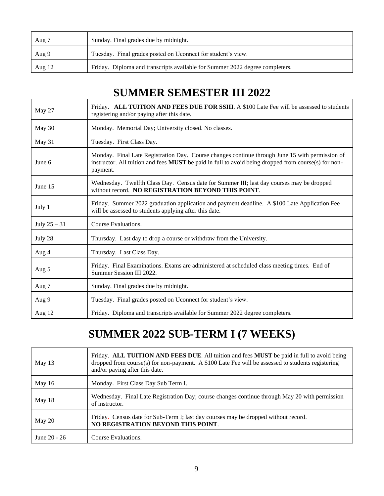| Aug 7  | Sunday. Final grades due by midnight.                                        |
|--------|------------------------------------------------------------------------------|
| Aug 9  | Tuesday. Final grades posted on Uconnect for student's view.                 |
| Aug 12 | Friday. Diploma and transcripts available for Summer 2022 degree completers. |

### **SUMMER SEMESTER III 2022**

| May 27         | Friday. ALL TUITION AND FEES DUE FOR SSIII. A \$100 Late Fee will be assessed to students<br>registering and/or paying after this date.                                                                             |
|----------------|---------------------------------------------------------------------------------------------------------------------------------------------------------------------------------------------------------------------|
| May 30         | Monday. Memorial Day; University closed. No classes.                                                                                                                                                                |
| May 31         | Tuesday. First Class Day.                                                                                                                                                                                           |
| June 6         | Monday. Final Late Registration Day. Course changes continue through June 15 with permission of<br>instructor. All tuition and fees MUST be paid in full to avoid being dropped from course(s) for non-<br>payment. |
| June 15        | Wednesday. Twelfth Class Day. Census date for Summer III; last day courses may be dropped<br>without record. NO REGISTRATION BEYOND THIS POINT.                                                                     |
| July 1         | Friday. Summer 2022 graduation application and payment deadline. A \$100 Late Application Fee<br>will be assessed to students applying after this date.                                                             |
| July $25 - 31$ | Course Evaluations.                                                                                                                                                                                                 |
| July 28        | Thursday. Last day to drop a course or withdraw from the University.                                                                                                                                                |
| Aug 4          | Thursday. Last Class Day.                                                                                                                                                                                           |
| Aug 5          | Friday. Final Examinations. Exams are administered at scheduled class meeting times. End of<br>Summer Session III 2022.                                                                                             |
| Aug 7          | Sunday. Final grades due by midnight.                                                                                                                                                                               |
| Aug 9          | Tuesday. Final grades posted on Uconnect for student's view.                                                                                                                                                        |
| Aug $12$       | Friday. Diploma and transcripts available for Summer 2022 degree completers.                                                                                                                                        |

## **SUMMER 2022 SUB-TERM I (7 WEEKS)**

| May $13$     | Friday. ALL TUITION AND FEES DUE. All tuition and fees MUST be paid in full to avoid being<br>dropped from course(s) for non-payment. A $$100$ Late Fee will be assessed to students registering<br>and/or paying after this date. |
|--------------|------------------------------------------------------------------------------------------------------------------------------------------------------------------------------------------------------------------------------------|
| May $16$     | Monday. First Class Day Sub Term I.                                                                                                                                                                                                |
| May 18       | Wednesday. Final Late Registration Day; course changes continue through May 20 with permission<br>of instructor.                                                                                                                   |
| May 20       | Friday. Census date for Sub-Term I; last day courses may be dropped without record.<br>NO REGISTRATION BEYOND THIS POINT.                                                                                                          |
| June 20 - 26 | Course Evaluations.                                                                                                                                                                                                                |